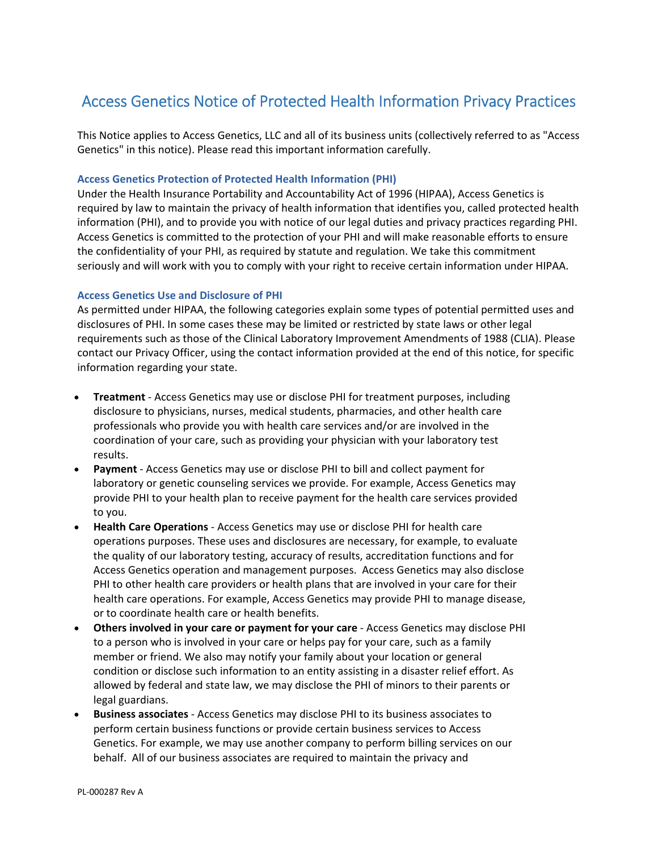# Access Genetics Notice of Protected Health Information Privacy Practices

This Notice applies to Access Genetics, LLC and all of its business units (collectively referred to as "Access Genetics" in this notice). Please read this important information carefully.

### **Access Genetics Protection of Protected Health Information (PHI)**

Under the Health Insurance Portability and Accountability Act of 1996 (HIPAA), Access Genetics is required by law to maintain the privacy of health information that identifies you, called protected health information (PHI), and to provide you with notice of our legal duties and privacy practices regarding PHI. Access Genetics is committed to the protection of your PHI and will make reasonable efforts to ensure the confidentiality of your PHI, as required by statute and regulation. We take this commitment seriously and will work with you to comply with your right to receive certain information under HIPAA.

# **Access Genetics Use and Disclosure of PHI**

As permitted under HIPAA, the following categories explain some types of potential permitted uses and disclosures of PHI. In some cases these may be limited or restricted by state laws or other legal requirements such as those of the Clinical Laboratory Improvement Amendments of 1988 (CLIA). Please contact our Privacy Officer, using the contact information provided at the end of this notice, for specific information regarding your state.

- **Treatment** Access Genetics may use or disclose PHI for treatment purposes, including disclosure to physicians, nurses, medical students, pharmacies, and other health care professionals who provide you with health care services and/or are involved in the coordination of your care, such as providing your physician with your laboratory test results.
- **Payment** ‐ Access Genetics may use or disclose PHI to bill and collect payment for laboratory or genetic counseling services we provide. For example, Access Genetics may provide PHI to your health plan to receive payment for the health care services provided to you.
- **Health Care Operations** ‐ Access Genetics may use or disclose PHI for health care operations purposes. These uses and disclosures are necessary, for example, to evaluate the quality of our laboratory testing, accuracy of results, accreditation functions and for Access Genetics operation and management purposes. Access Genetics may also disclose PHI to other health care providers or health plans that are involved in your care for their health care operations. For example, Access Genetics may provide PHI to manage disease, or to coordinate health care or health benefits.
- **Others involved in your care or payment for your care** ‐ Access Genetics may disclose PHI to a person who is involved in your care or helps pay for your care, such as a family member or friend. We also may notify your family about your location or general condition or disclose such information to an entity assisting in a disaster relief effort. As allowed by federal and state law, we may disclose the PHI of minors to their parents or legal guardians.
- **Business associates** ‐ Access Genetics may disclose PHI to its business associates to perform certain business functions or provide certain business services to Access Genetics. For example, we may use another company to perform billing services on our behalf. All of our business associates are required to maintain the privacy and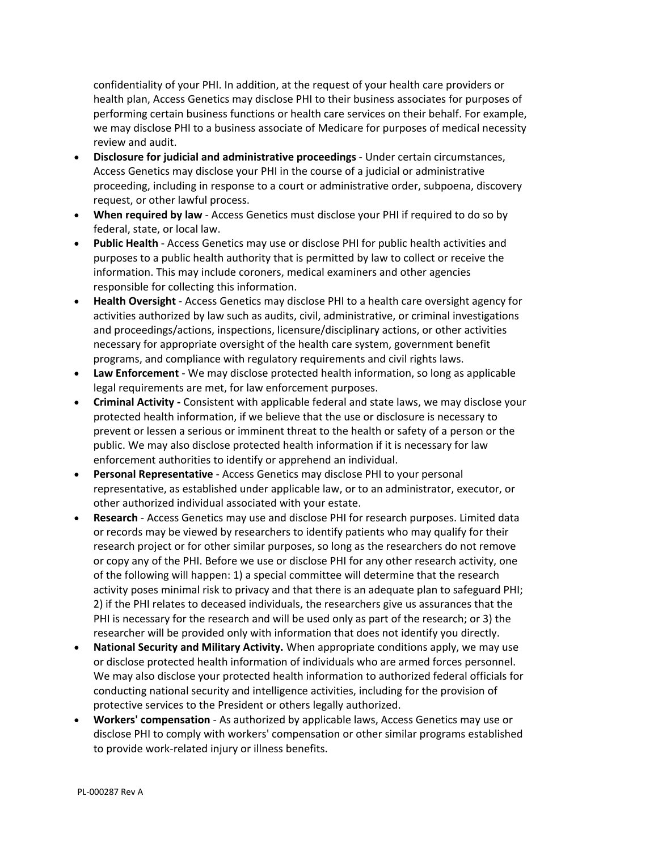confidentiality of your PHI. In addition, at the request of your health care providers or health plan, Access Genetics may disclose PHI to their business associates for purposes of performing certain business functions or health care services on their behalf. For example, we may disclose PHI to a business associate of Medicare for purposes of medical necessity review and audit.

- **Disclosure for judicial and administrative proceedings** ‐ Under certain circumstances, Access Genetics may disclose your PHI in the course of a judicial or administrative proceeding, including in response to a court or administrative order, subpoena, discovery request, or other lawful process.
- **When required by law** ‐ Access Genetics must disclose your PHI if required to do so by federal, state, or local law.
- **Public Health** ‐ Access Genetics may use or disclose PHI for public health activities and purposes to a public health authority that is permitted by law to collect or receive the information. This may include coroners, medical examiners and other agencies responsible for collecting this information.
- **Health Oversight** ‐ Access Genetics may disclose PHI to a health care oversight agency for activities authorized by law such as audits, civil, administrative, or criminal investigations and proceedings/actions, inspections, licensure/disciplinary actions, or other activities necessary for appropriate oversight of the health care system, government benefit programs, and compliance with regulatory requirements and civil rights laws.
- **Law Enforcement** ‐ We may disclose protected health information, so long as applicable legal requirements are met, for law enforcement purposes.
- **Criminal Activity ‐** Consistent with applicable federal and state laws, we may disclose your protected health information, if we believe that the use or disclosure is necessary to prevent or lessen a serious or imminent threat to the health or safety of a person or the public. We may also disclose protected health information if it is necessary for law enforcement authorities to identify or apprehend an individual.
- **Personal Representative** ‐ Access Genetics may disclose PHI to your personal representative, as established under applicable law, or to an administrator, executor, or other authorized individual associated with your estate.
- **Research** ‐ Access Genetics may use and disclose PHI for research purposes. Limited data or records may be viewed by researchers to identify patients who may qualify for their research project or for other similar purposes, so long as the researchers do not remove or copy any of the PHI. Before we use or disclose PHI for any other research activity, one of the following will happen: 1) a special committee will determine that the research activity poses minimal risk to privacy and that there is an adequate plan to safeguard PHI; 2) if the PHI relates to deceased individuals, the researchers give us assurances that the PHI is necessary for the research and will be used only as part of the research; or 3) the researcher will be provided only with information that does not identify you directly.
- **National Security and Military Activity.** When appropriate conditions apply, we may use or disclose protected health information of individuals who are armed forces personnel. We may also disclose your protected health information to authorized federal officials for conducting national security and intelligence activities, including for the provision of protective services to the President or others legally authorized.
- **Workers' compensation** ‐ As authorized by applicable laws, Access Genetics may use or disclose PHI to comply with workers' compensation or other similar programs established to provide work‐related injury or illness benefits.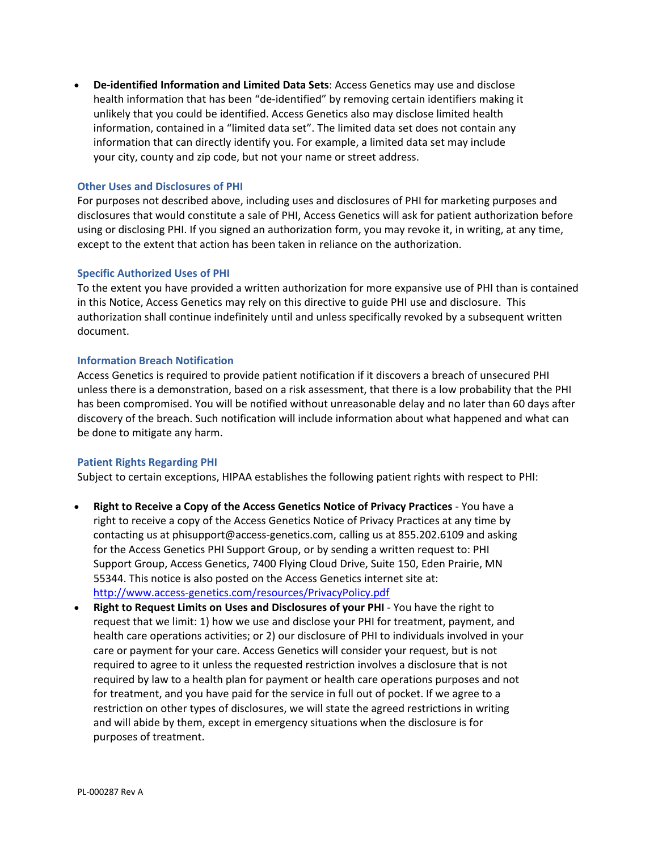**De‐identified Information and Limited Data Sets**: Access Genetics may use and disclose health information that has been "de-identified" by removing certain identifiers making it unlikely that you could be identified. Access Genetics also may disclose limited health information, contained in a "limited data set". The limited data set does not contain any information that can directly identify you. For example, a limited data set may include your city, county and zip code, but not your name or street address.

# **Other Uses and Disclosures of PHI**

For purposes not described above, including uses and disclosures of PHI for marketing purposes and disclosures that would constitute a sale of PHI, Access Genetics will ask for patient authorization before using or disclosing PHI. If you signed an authorization form, you may revoke it, in writing, at any time, except to the extent that action has been taken in reliance on the authorization.

#### **Specific Authorized Uses of PHI**

To the extent you have provided a written authorization for more expansive use of PHI than is contained in this Notice, Access Genetics may rely on this directive to guide PHI use and disclosure. This authorization shall continue indefinitely until and unless specifically revoked by a subsequent written document.

#### **Information Breach Notification**

Access Genetics is required to provide patient notification if it discovers a breach of unsecured PHI unless there is a demonstration, based on a risk assessment, that there is a low probability that the PHI has been compromised. You will be notified without unreasonable delay and no later than 60 days after discovery of the breach. Such notification will include information about what happened and what can be done to mitigate any harm.

#### **Patient Rights Regarding PHI**

Subject to certain exceptions, HIPAA establishes the following patient rights with respect to PHI:

- **Right to Receive a Copy of the Access Genetics Notice of Privacy Practices** ‐ You have a right to receive a copy of the Access Genetics Notice of Privacy Practices at any time by contacting us at phisupport@access‐genetics.com, calling us at 855.202.6109 and asking for the Access Genetics PHI Support Group, or by sending a written request to: PHI Support Group, Access Genetics, 7400 Flying Cloud Drive, Suite 150, Eden Prairie, MN 55344. This notice is also posted on the Access Genetics internet site at: http://www.access‐genetics.com/resources/PrivacyPolicy.pdf
- **Right to Request Limits on Uses and Disclosures of your PHI** ‐ You have the right to request that we limit: 1) how we use and disclose your PHI for treatment, payment, and health care operations activities; or 2) our disclosure of PHI to individuals involved in your care or payment for your care. Access Genetics will consider your request, but is not required to agree to it unless the requested restriction involves a disclosure that is not required by law to a health plan for payment or health care operations purposes and not for treatment, and you have paid for the service in full out of pocket. If we agree to a restriction on other types of disclosures, we will state the agreed restrictions in writing and will abide by them, except in emergency situations when the disclosure is for purposes of treatment.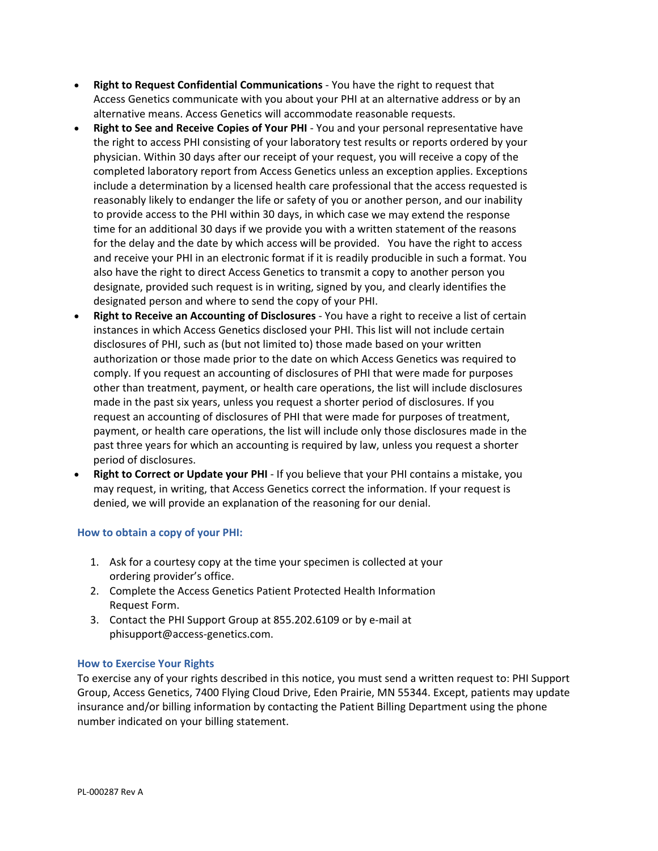- **Right to Request Confidential Communications** ‐ You have the right to request that Access Genetics communicate with you about your PHI at an alternative address or by an alternative means. Access Genetics will accommodate reasonable requests.
- **Right to See and Receive Copies of Your PHI** ‐ You and your personal representative have the right to access PHI consisting of your laboratory test results or reports ordered by your physician. Within 30 days after our receipt of your request, you will receive a copy of the completed laboratory report from Access Genetics unless an exception applies. Exceptions include a determination by a licensed health care professional that the access requested is reasonably likely to endanger the life or safety of you or another person, and our inability to provide access to the PHI within 30 days, in which case we may extend the response time for an additional 30 days if we provide you with a written statement of the reasons for the delay and the date by which access will be provided. You have the right to access and receive your PHI in an electronic format if it is readily producible in such a format. You also have the right to direct Access Genetics to transmit a copy to another person you designate, provided such request is in writing, signed by you, and clearly identifies the designated person and where to send the copy of your PHI.
- **Right to Receive an Accounting of Disclosures** ‐ You have a right to receive a list of certain instances in which Access Genetics disclosed your PHI. This list will not include certain disclosures of PHI, such as (but not limited to) those made based on your written authorization or those made prior to the date on which Access Genetics was required to comply. If you request an accounting of disclosures of PHI that were made for purposes other than treatment, payment, or health care operations, the list will include disclosures made in the past six years, unless you request a shorter period of disclosures. If you request an accounting of disclosures of PHI that were made for purposes of treatment, payment, or health care operations, the list will include only those disclosures made in the past three years for which an accounting is required by law, unless you request a shorter period of disclosures.
- **Right to Correct or Update your PHI** ‐ If you believe that your PHI contains a mistake, you may request, in writing, that Access Genetics correct the information. If your request is denied, we will provide an explanation of the reasoning for our denial.

# **How to obtain a copy of your PHI:**

- 1. Ask for a courtesy copy at the time your specimen is collected at your ordering provider's office.
- 2. Complete the Access Genetics Patient Protected Health Information Request Form.
- 3. Contact the PHI Support Group at 855.202.6109 or by e‐mail at phisupport@access‐genetics.com.

#### **How to Exercise Your Rights**

To exercise any of your rights described in this notice, you must send a written request to: PHI Support Group, Access Genetics, 7400 Flying Cloud Drive, Eden Prairie, MN 55344. Except, patients may update insurance and/or billing information by contacting the Patient Billing Department using the phone number indicated on your billing statement.